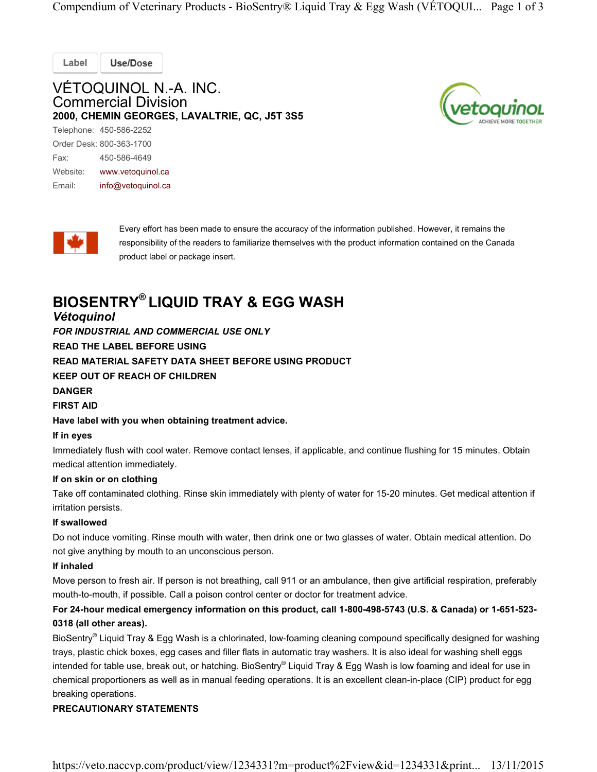Compendium of Veterinary Products - BioSentry® Liquid Tray & Egg Wash (VÉTOQUI... Page 1 of 3

Label **Use/Dose** 

# VÉTOQUINOL N.-A. INC. Commercial Division 2000, CHEMIN GEORGES, LAVALTRIE, QC, J5T 3S5

Telephone: 450-586-2252 Order Desk: 800-363-1700 Fax: 450-586-4649 Website: www.vetoquinol.ca Email: info@vetoquinol.ca



Every effort has been made to ensure the accuracy of the information published. However, it remains the responsibility of the readers to familiarize themselves with the product information contained on the Canada product label or package insert.

# BIOSENTRY® LIQUID TRAY & EGG WASH

## Vétoquinol

FOR INDUSTRIAL AND COMMERCIAL USE ONLY

READ THE LABEL BEFORE USING

READ MATERIAL SAFETY DATA SHEET BEFORE USING PRODUCT

KEEP OUT OF REACH OF CHILDREN

#### DANGER

FIRST AID

Have label with you when obtaining treatment advice.

#### If in eyes

Immediately flush with cool water. Remove contact lenses, if applicable, and continue flushing for 15 minutes. Obtain medical attention immediately.

#### If on skin or on clothing

Take off contaminated clothing. Rinse skin immediately with plenty of water for 15-20 minutes. Get medical attention if irritation persists.

#### If swallowed

Do not induce vomiting. Rinse mouth with water, then drink one or two glasses of water. Obtain medical attention. Do not give anything by mouth to an unconscious person.

#### If inhaled

Move person to fresh air. If person is not breathing, call 911 or an ambulance, then give artificial respiration, preferably mouth-to-mouth, if possible. Call a poison control center or doctor for treatment advice.

### For 24-hour medical emergency information on this product, call 1-800-498-5743 (U.S. & Canada) or 1-651-523- 0318 (all other areas).

BioSentry® Liquid Tray & Egg Wash is a chlorinated, low-foaming cleaning compound specifically designed for washing trays, plastic chick boxes, egg cases and filler flats in automatic tray washers. It is also ideal for washing shell eggs intended for table use, break out, or hatching. BioSentry® Liquid Tray & Egg Wash is low foaming and ideal for use in chemical proportioners as well as in manual feeding operations. It is an excellent clean-in-place (CIP) product for egg breaking operations.

#### PRECAUTIONARY STATEMENTS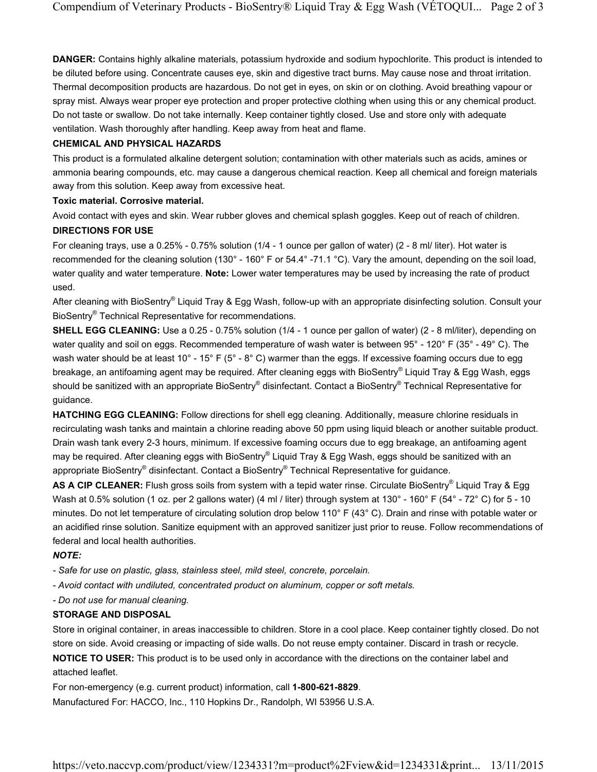DANGER: Contains highly alkaline materials, potassium hydroxide and sodium hypochlorite. This product is intended to be diluted before using. Concentrate causes eye, skin and digestive tract burns. May cause nose and throat irritation. Thermal decomposition products are hazardous. Do not get in eyes, on skin or on clothing. Avoid breathing vapour or spray mist. Always wear proper eye protection and proper protective clothing when using this or any chemical product. Do not taste or swallow. Do not take internally. Keep container tightly closed. Use and store only with adequate ventilation. Wash thoroughly after handling. Keep away from heat and flame.

#### CHEMICAL AND PHYSICAL HAZARDS

This product is a formulated alkaline detergent solution; contamination with other materials such as acids, amines or ammonia bearing compounds, etc. may cause a dangerous chemical reaction. Keep all chemical and foreign materials away from this solution. Keep away from excessive heat.

#### Toxic material. Corrosive material.

Avoid contact with eyes and skin. Wear rubber gloves and chemical splash goggles. Keep out of reach of children. DIRECTIONS FOR USE

For cleaning trays, use a 0.25% - 0.75% solution (1/4 - 1 ounce per gallon of water) (2 - 8 ml/ liter). Hot water is recommended for the cleaning solution (130° - 160° F or 54.4° -71.1 °C). Vary the amount, depending on the soil load, water quality and water temperature. Note: Lower water temperatures may be used by increasing the rate of product used.

After cleaning with BioSentry® Liquid Tray & Egg Wash, follow-up with an appropriate disinfecting solution. Consult your BioSentry<sup>®</sup> Technical Representative for recommendations.

SHELL EGG CLEANING: Use a 0.25 - 0.75% solution (1/4 - 1 ounce per gallon of water) (2 - 8 ml/liter), depending on water quality and soil on eggs. Recommended temperature of wash water is between 95° - 120° F (35° - 49° C). The wash water should be at least 10° - 15° F (5° - 8° C) warmer than the eggs. If excessive foaming occurs due to egg breakage, an antifoaming agent may be required. After cleaning eggs with BioSentry® Liquid Tray & Egg Wash, eggs should be sanitized with an appropriate BioSentry® disinfectant. Contact a BioSentry® Technical Representative for guidance.

HATCHING EGG CLEANING: Follow directions for shell egg cleaning. Additionally, measure chlorine residuals in recirculating wash tanks and maintain a chlorine reading above 50 ppm using liquid bleach or another suitable product. Drain wash tank every 2-3 hours, minimum. If excessive foaming occurs due to egg breakage, an antifoaming agent may be required. After cleaning eggs with BioSentry® Liquid Tray & Egg Wash, eggs should be sanitized with an appropriate BioSentry® disinfectant. Contact a BioSentry® Technical Representative for guidance.

AS A CIP CLEANER: Flush gross soils from system with a tepid water rinse. Circulate BioSentry® Liquid Tray & Egg Wash at 0.5% solution (1 oz. per 2 gallons water) (4 ml / liter) through system at 130° - 160° F (54° - 72° C) for 5 - 10 minutes. Do not let temperature of circulating solution drop below 110° F (43° C). Drain and rinse with potable water or an acidified rinse solution. Sanitize equipment with an approved sanitizer just prior to reuse. Follow recommendations of federal and local health authorities.

#### NOTE:

- Safe for use on plastic, glass, stainless steel, mild steel, concrete, porcelain.

- Avoid contact with undiluted, concentrated product on aluminum, copper or soft metals.

- Do not use for manual cleaning.

#### STORAGE AND DISPOSAL

Store in original container, in areas inaccessible to children. Store in a cool place. Keep container tightly closed. Do not store on side. Avoid creasing or impacting of side walls. Do not reuse empty container. Discard in trash or recycle. NOTICE TO USER: This product is to be used only in accordance with the directions on the container label and attached leaflet.

For non-emergency (e.g. current product) information, call 1-800-621-8829. Manufactured For: HACCO, Inc., 110 Hopkins Dr., Randolph, WI 53956 U.S.A.